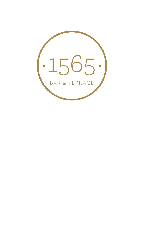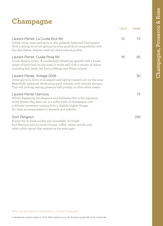## **Champagne**

|                                                                                                                                                                                                                                                                                    | 125ml | <b>Bottle</b> |
|------------------------------------------------------------------------------------------------------------------------------------------------------------------------------------------------------------------------------------------------------------------------------------|-------|---------------|
| Laurent-Perrier, La Cuvée Brut NV<br>Subtle citrus, toast and spice in this perfectly balanced Champagne.<br>With a strong structure giving the wine good food compatibility with<br>fine fish dishes, delicate seafood, white meat & poultry                                      | 13    | 75            |
| Laurent-Perrier, Cuvée Rosé NV<br>Cuvée Rosé is Iconic. A wonderfully refreshing aperitif, with a broad<br>range of berry fruit on the nose. It works well with a variety of dishes<br>including fish, lamb, red fruit puddings and Asian cuisine.                                 | 18    | 95            |
| Laurent-Perrier, Vintage 2008<br>Dried apricots, hints of pineapple and lightly toasted nuts on the nose.<br>Beautifully balanced, developing good richness with delicate mousse.<br>This will prolong tasting pleasure with poultry or other white meats.                         |       | 90            |
| Laurent-Perrier Harmony<br>Whilst displaying the elegance and freshness that is the signature<br>of the House, this demi-sec is a softer style of champagne with<br>a delicate sweetness coming from a slightly higher dosage.<br>An ideal accompaniment to desserts and pastries. |       | 75            |
| Dom Perignon<br>Known for its fresh acidity and minerality. Its bright<br>fruit flavours, and its notes of toast, coffee, cream, vanilla, and<br>other subtle spices that emerge as the wine ages                                                                                  |       | 240           |

#### Wine by the glass is available in a 125ml measure.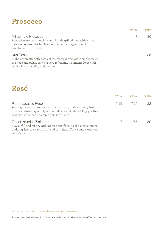## **Prosecco**

|                                                                                                                                                                                         | 125ml | <b>Bottle</b> |
|-----------------------------------------------------------------------------------------------------------------------------------------------------------------------------------------|-------|---------------|
| Millesimato Prosecco<br>Attractive aromas of melons and lightly grilled nuts with a good<br>balance between the bubbles, acidity and a suggestion of<br>sweetness on the finish.        |       | $30^{\circ}$  |
| Nua Rose<br>Lightly aromatic with notes of melon, pear and sweet cranberry on<br>the nose and palate this is a very refreshing Spumante Rose with<br>well-balanced acidity and bubbles. |       | 35            |

## **Rosé**

|                                                                                                                                                                                                                      | 175ml | 250ml     | <b>Bottle</b> |
|----------------------------------------------------------------------------------------------------------------------------------------------------------------------------------------------------------------------|-------|-----------|---------------|
| Pierre Lacasse Rosé<br>An elegant style of rosé with tight raspberry and cranberry fruit,<br>this has refreshing acidity and is delicate and refined. Enjoy with a<br>scallops, white fish or simple chicken dishes. |       | 5.25 7.25 | $221$         |
| Out of America Zinfandel<br>Flavourful and off-dry with aromas and flavours of baked summer<br>pudding, lychees, exotic fruit and tutti frutti. This would work well<br>with Pasta.                                  |       | 95        |               |

#### Wine by the glass is available in a 125ml measure.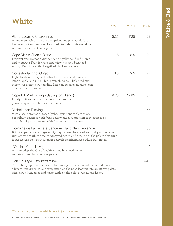| White                                                                                                                                                                                                                                                                                                    |       |       |               |
|----------------------------------------------------------------------------------------------------------------------------------------------------------------------------------------------------------------------------------------------------------------------------------------------------------|-------|-------|---------------|
|                                                                                                                                                                                                                                                                                                          | 175ml | 250ml | <b>Bottle</b> |
| Pierre Lacasse Chardonnay<br>A very expressive nose of pure apricot and peach, this is full<br>flavoured but soft and well balanced. Rounded, this would pair<br>well with roast chicken or pork.                                                                                                        | 5.25  | 7.25  | 22            |
| Cape Marlin Chenin Blanc<br>Fragrant and aromatic with tangerine, yellow and red plums<br>and nectarine. Fruit forward and juicy with well-balanced<br>acidity. Delicious with chargrilled chicken or a fish dish                                                                                        | 6     | 8.5   | 24            |
| Cortestrada Pinot Grigio<br>Light, fresh and crisp with attractive aromas and flavours of<br>lemon, apple and nuts. This is refreshing, well balanced and<br>zesty with pretty citrus acidity. This can be enjoyed on its own<br>or with salads or seafood.                                              | 6.5   | 9.5   | 27            |
| Cope Hill Marlborough Sauvignon Blanc (v)<br>Lovely fruit and aromatic wine with notes of citrus,<br>gooseberry and a subtle vanilla touch.                                                                                                                                                              | 9.25  | 12.95 | 37            |
| Michel Leon Riesling<br>With classic aromas of roses, lychee, spice and violets this is<br>beautifully balanced with fresh acidity and a suggestion of sweetness on<br>the finish. A perfect match with Beef or lamb. the senses.                                                                        |       |       | 47            |
| Domaine de La Perriere Sancerre Blanc New Zealand (v)<br>Bright appearance with green highlights. Well-balanced and fruity on the nose<br>with aromas of white flowers, vineyard peach and acacia. On the palate, this wine<br>is supple and well-structured and develops mineral and white fruit notes. |       |       | 50            |
| L'Onciale Chablis (ve)<br>A clean crisp, dry Chablis with a good balanced and a<br>well structured finish on the palate.                                                                                                                                                                                 |       |       | 45            |
| Bon Courage Gewürztraminer<br>The noble grape variety Gewürztraminer grown just outside of Robertson with<br>a lovely lime green colour, temptation on the nose leading into an off dry palate<br>with citrus fruit, spice and marmalade on the palate with a long finish.                               |       |       | 49.5          |

Wine by the glass is available in a 125ml measure.

A discretionary service charge of 12.5% will be added to your bill. All prices include VAT at the current rate.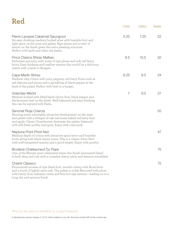| Red                                                                                                                                                                                                                                                                                          |                |                   |               |
|----------------------------------------------------------------------------------------------------------------------------------------------------------------------------------------------------------------------------------------------------------------------------------------------|----------------|-------------------|---------------|
|                                                                                                                                                                                                                                                                                              | 175ml          | 250 <sub>ml</sub> | <b>Bottle</b> |
| Pierre Lacasse Cabernet Sauvignon<br>An easy drinking, medium bodied wine with bramble fruit and<br>light spice on the nose and palate. Ripe plums and a twist of<br>tannin on the finish gives this red a pleasing structure.<br>Perfect with lamb and other red meats.                     | 5.25           | 7.25              | 22            |
| Finca Clasica Shiraz Malbec<br>Perfumed and juicy with notes of ripe plums and soft, red berry<br>fruits. Easy drinking with mellow tannins this would be a delicious<br>match with a lamb or Burgers.                                                                                       | 8.5            | 10.5              | 32            |
| Cape Marlin Shiraz<br>Medium ruby colour with juicy, peppery, red berry fruits such as<br>red cherries and plums and a sprinkling of black pepper at the<br>back of the palate. Perfect with beef or a burger.                                                                               | 6.25           | 8.5               | 24            |
| <b>Volandas Merlot</b><br>Medium bodied with lifted black cherry fruit, black pepper and<br>blackcurrant leaf on the finish. Well balanced and easy drinking<br>this can be enjoyed with Pasta.                                                                                              | $\overline{7}$ | 9.5               | 27            |
| Senorial Rioja Crianza<br>Showing some noticeable, attractive development on the nose<br>and palate with a whisper of oak and some baked red berry fruit<br>and apple. Classic Strawberries dominate the palate, balanced<br>with still-fresh acidity and spice. Enjoy with roast pork.      |                |                   | 35            |
| Neptune Point Pinot Noir<br>Medium depth of colour with attractive spicy berry and bramble<br>fruits along with black cherry notes. This is a classic Pinot Noir<br>with well-integrated tannins and a good length. Enjoy with poultry.                                                      |                |                   | 47            |
| Broderie Chateauneuf Du Pape<br>One of the Rhones most celebrated wines this Syrah dominated blend<br>is both deep and rich with a complex cherry, plum and damson mouthfeel.                                                                                                                |                |                   | 75            |
| Chianti Classico<br>Pronounced aromas of ripe black fruit, morello cherry with floral hints<br>and a touch of lightly spicy oak. The palate is richly-flavoured with plum,<br>wild cherry fruit, balsamic notes and firm but ripe tannins - leading on to a<br>long, dry and savoury finish. |                |                   | 75            |

Wine by the glass is available in a 125ml measure.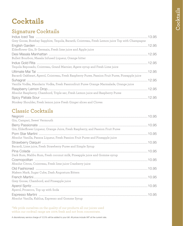# **Cocktails**

## **Signature Cocktails**

| Grey Goose, Bombay Sapphire, Tequila, Bacardi, Cointreau, Fresh Lemon juice Top with Champagne   |  |
|--------------------------------------------------------------------------------------------------|--|
| Elderflower Gin, St Germain, Fresh lime juice and Apple juice                                    |  |
| Bulleit Bourbon, Masala Infused Liqueur, Orange bitter                                           |  |
| Tequila Reposado, Cointreau, Grand Marnier, Agave syrup and Fresh Lime juice                     |  |
| Bacardi Oakheart, Aperol, Cointreau, Fresh Raspberry Puree, Passion Fruit Puree, Pineapple juice |  |
| Vanilla Vodka, Mandarin Vodka, Fresh Passionfruit Puree Orange Marmalade, Orange juice           |  |
| Absolut Raspberry, Chambord, Triple sec, Fresh Lemon juice and Raspberry Puree                   |  |
|                                                                                                  |  |
| Monkey Shoulder, Fresh lemon juice Fresh Ginger slices and Cloves                                |  |

## **Classic Cocktails**

| Gin, Campari, Sweet Vermouth                                                     |  |
|----------------------------------------------------------------------------------|--|
| Gin, Elderflower Liqueur, Orange Juice, Fresh Raspberry, and Passion Fruit Puree |  |
|                                                                                  |  |
| Absolut Vanilla, Passoa Liqueur, Fresh Passion Fruit Puree and Pineapple juice   |  |
|                                                                                  |  |
| Bacardi, Lime juice, Fresh Strawberry Puree and Simple Syrup                     |  |
|                                                                                  |  |
| Dark Rum, Malibu Rum, Fresh coconut milk, Pineapple juice and Gomme syrup        |  |
|                                                                                  |  |
| Absolut Citron, Cointreau, Fresh lime juice Cranberry juice                      |  |
|                                                                                  |  |
| Makers Mark, Sugar Cube, Dash Angostura Bitters                                  |  |
|                                                                                  |  |
| Grey Goose, Chambord, and Pineapple juice                                        |  |
|                                                                                  |  |
| Aperol, Prosecco, Top up with Soda                                               |  |
|                                                                                  |  |
| Absolut Vanilla, Kahlua, Espresso and Gomme Syrup                                |  |

\*We pride ourselves on the quality of our products all our juices used within our cocktail range are 100% fresh and not from concentrate.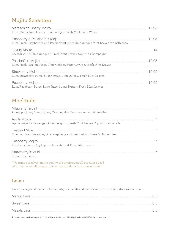## **Mojito Selection**

| Rum, Maraschino Cherry, Lime wedges, Fresh Mint, Soda Water                         |  |
|-------------------------------------------------------------------------------------|--|
| Rum, Fresh Raspberries and Passionfruit puree lime wedges Mint Leaves top with soda |  |
| Bacardi white, Lime wedges & Fresh Mint Leaves, top with Champagne                  |  |
| Rum, Fresh Passion Puree, Lime wedges, Sugar Syrup & Fresh Mint Leaves              |  |
| Rum, Strawberry Puree, Sugar Syrup, Lime Juice & Fresh Mint Leaves                  |  |
| Rum, Raspberry Puree, Lime Juice, Sugar Syrup & Fresh Mint Leaves                   |  |

## **Mocktails**

| Pineapple juice, Mango juice, Orange juice, Fresh cream and Grenadine         |  |
|-------------------------------------------------------------------------------|--|
| Apple Juice, Lime wedges, Gomme syrup, Fresh Mint Leaves Top with Lemonade    |  |
| Orange juice, Pineapple juice, Raspberry and Passionfruit Puree & Ginger Beer |  |
| Raspberry Puree, Apple juice, Lime Juice & Fresh Mint Leaves                  |  |
| Strawberry Puree,                                                             |  |

\*We pride ourselves on the quality of our products all our juices used within our cocktail range are 100% fresh and not from concentrate.

### **Lassi**

Lassi is a regional name for buttermilk, the traditional dahi-based drink in the Indian subcontinent

A discretionary service charge of 12.5% will be added to your bill. All prices include VAT at the current rate.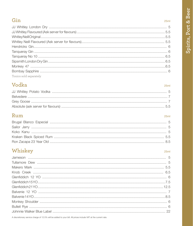### Gin

## Vodka

## Rum

 $25ml$ 

 $25ml$ 

## Whiskey

#### $25ml$

A discretionary service charge of 12.5% will be added to your bill. All prices include VAT at the current rate.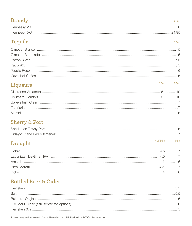### **Brandy**

## Tequila

### $25ml$

 $25ml$ 

## Liqueurs

#### $25ml$  $50ml$

**Half Pint** 

Pint

## **Sherry & Port**

## Draught

## **Bottled Beer & Cider**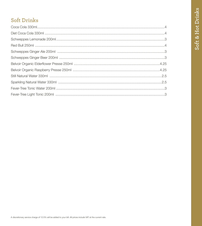## **Soft Drinks**